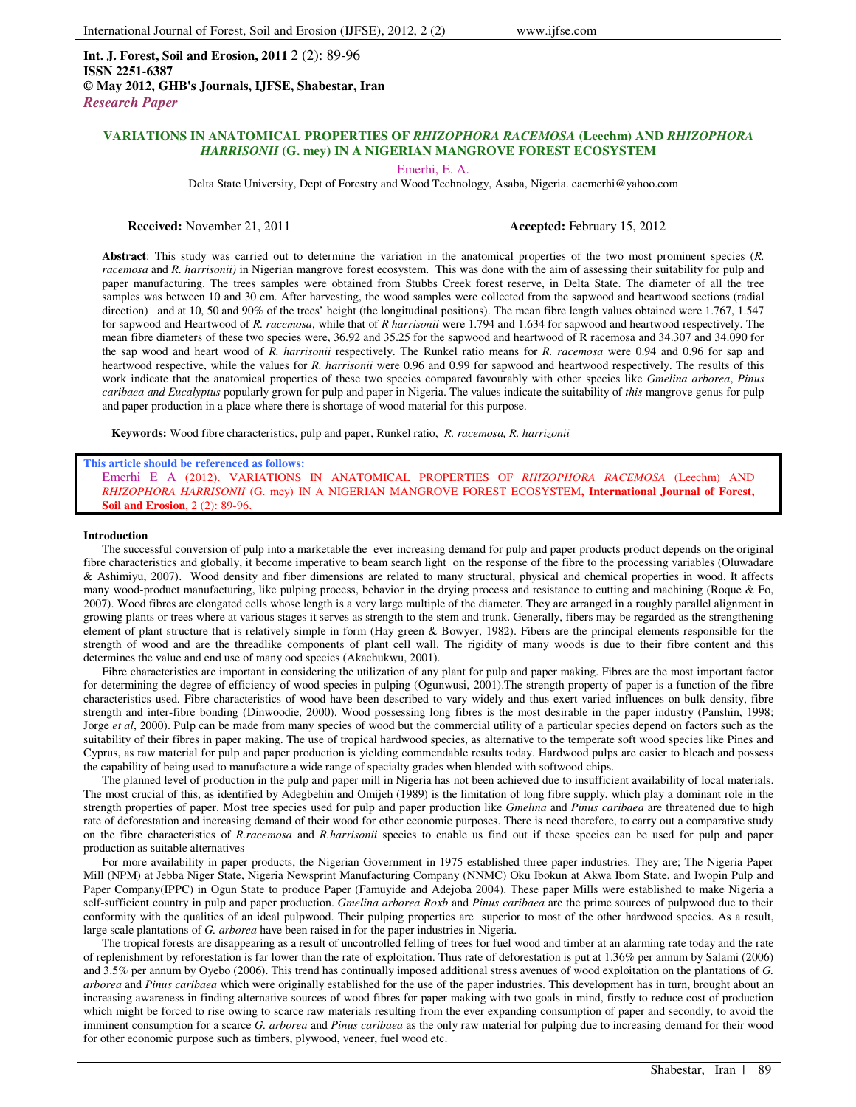**Int. J. Forest, Soil and Erosion, 2011** 2 (2): 89-96 **ISSN 2251-6387 © May 2012, GHB's Journals, IJFSE, Shabestar, Iran** *Research Paper*

## **VARIATIONS IN ANATOMICAL PROPERTIES OF** *RHIZOPHORA RACEMOSA* **(Leechm) AND** *RHIZOPHORA HARRISONII* **(G. mey) IN A NIGERIAN MANGROVE FOREST ECOSYSTEM**

Emerhi, E. A.

Delta State University, Dept of Forestry and Wood Technology, Asaba, Nigeria. eaemerhi@yahoo.com

**Received:** November 21, 2011 **Accepted: February 15, 2012** 

**Abstract**: This study was carried out to determine the variation in the anatomical properties of the two most prominent species (*R. racemosa* and *R. harrisonii)* in Nigerian mangrove forest ecosystem. This was done with the aim of assessing their suitability for pulp and paper manufacturing. The trees samples were obtained from Stubbs Creek forest reserve, in Delta State. The diameter of all the tree samples was between 10 and 30 cm. After harvesting, the wood samples were collected from the sapwood and heartwood sections (radial direction) and at 10, 50 and 90% of the trees' height (the longitudinal positions). The mean fibre length values obtained were 1.767, 1.547 for sapwood and Heartwood of *R. racemosa*, while that of *R harrisonii* were 1.794 and 1.634 for sapwood and heartwood respectively. The mean fibre diameters of these two species were, 36.92 and 35.25 for the sapwood and heartwood of R racemosa and 34.307 and 34.090 for the sap wood and heart wood of *R. harrisonii* respectively. The Runkel ratio means for *R. racemosa* were 0.94 and 0.96 for sap and heartwood respective, while the values for *R. harrisonii* were 0.96 and 0.99 for sapwood and heartwood respectively. The results of this work indicate that the anatomical properties of these two species compared favourably with other species like *Gmelina arborea*, *Pinus caribaea and Eucalyptus* popularly grown for pulp and paper in Nigeria. The values indicate the suitability of *this* mangrove genus for pulp and paper production in a place where there is shortage of wood material for this purpose.

**Keywords:** Wood fibre characteristics, pulp and paper, Runkel ratio, *R. racemosa, R. harrizonii*

#### **This article should be referenced as follows:**

Emerhi E A (2012). VARIATIONS IN ANATOMICAL PROPERTIES OF *RHIZOPHORA RACEMOSA* (Leechm) AND *RHIZOPHORA HARRISONII* (G. mey) IN A NIGERIAN MANGROVE FOREST ECOSYSTEM**, International Journal of Forest, Soil and Erosion**, 2 (2): 89-96.

#### **Introduction**

The successful conversion of pulp into a marketable the ever increasing demand for pulp and paper products product depends on the original fibre characteristics and globally, it become imperative to beam search light on the response of the fibre to the processing variables (Oluwadare & Ashimiyu, 2007). Wood density and fiber dimensions are related to many structural, physical and chemical properties in wood. It affects many wood-product manufacturing, like pulping process, behavior in the drying process and resistance to cutting and machining (Roque & Fo, 2007). Wood fibres are elongated cells whose length is a very large multiple of the diameter. They are arranged in a roughly parallel alignment in growing plants or trees where at various stages it serves as strength to the stem and trunk. Generally, fibers may be regarded as the strengthening element of plant structure that is relatively simple in form (Hay green & Bowyer, 1982). Fibers are the principal elements responsible for the strength of wood and are the threadlike components of plant cell wall. The rigidity of many woods is due to their fibre content and this determines the value and end use of many ood species (Akachukwu, 2001).

Fibre characteristics are important in considering the utilization of any plant for pulp and paper making. Fibres are the most important factor for determining the degree of efficiency of wood species in pulping (Ogunwusi, 2001).The strength property of paper is a function of the fibre characteristics used. Fibre characteristics of wood have been described to vary widely and thus exert varied influences on bulk density, fibre strength and inter-fibre bonding (Dinwoodie, 2000). Wood possessing long fibres is the most desirable in the paper industry (Panshin, 1998; Jorge *et al*, 2000). Pulp can be made from many species of wood but the commercial utility of a particular species depend on factors such as the suitability of their fibres in paper making. The use of tropical hardwood species, as alternative to the temperate soft wood species like Pines and Cyprus, as raw material for pulp and paper production is yielding commendable results today. Hardwood pulps are easier to bleach and possess the capability of being used to manufacture a wide range of specialty grades when blended with softwood chips.

The planned level of production in the pulp and paper mill in Nigeria has not been achieved due to insufficient availability of local materials. The most crucial of this, as identified by Adegbehin and Omijeh (1989) is the limitation of long fibre supply, which play a dominant role in the strength properties of paper. Most tree species used for pulp and paper production like *Gmelina* and *Pinus caribaea* are threatened due to high rate of deforestation and increasing demand of their wood for other economic purposes. There is need therefore, to carry out a comparative study on the fibre characteristics of *R.racemosa* and *R.harrisonii* species to enable us find out if these species can be used for pulp and paper production as suitable alternatives

For more availability in paper products, the Nigerian Government in 1975 established three paper industries. They are; The Nigeria Paper Mill (NPM) at Jebba Niger State, Nigeria Newsprint Manufacturing Company (NNMC) Oku Ibokun at Akwa Ibom State, and Iwopin Pulp and Paper Company(IPPC) in Ogun State to produce Paper (Famuyide and Adejoba 2004). These paper Mills were established to make Nigeria a self-sufficient country in pulp and paper production. *Gmelina arborea Roxb* and *Pinus caribaea* are the prime sources of pulpwood due to their conformity with the qualities of an ideal pulpwood. Their pulping properties are superior to most of the other hardwood species. As a result, large scale plantations of *G. arborea* have been raised in for the paper industries in Nigeria.

The tropical forests are disappearing as a result of uncontrolled felling of trees for fuel wood and timber at an alarming rate today and the rate of replenishment by reforestation is far lower than the rate of exploitation. Thus rate of deforestation is put at 1.36% per annum by Salami (2006) and 3.5% per annum by Oyebo (2006). This trend has continually imposed additional stress avenues of wood exploitation on the plantations of *G. arborea* and *Pinus caribaea* which were originally established for the use of the paper industries. This development has in turn, brought about an increasing awareness in finding alternative sources of wood fibres for paper making with two goals in mind, firstly to reduce cost of production which might be forced to rise owing to scarce raw materials resulting from the ever expanding consumption of paper and secondly, to avoid the imminent consumption for a scarce *G. arborea* and *Pinus caribaea* as the only raw material for pulping due to increasing demand for their wood for other economic purpose such as timbers, plywood, veneer, fuel wood etc.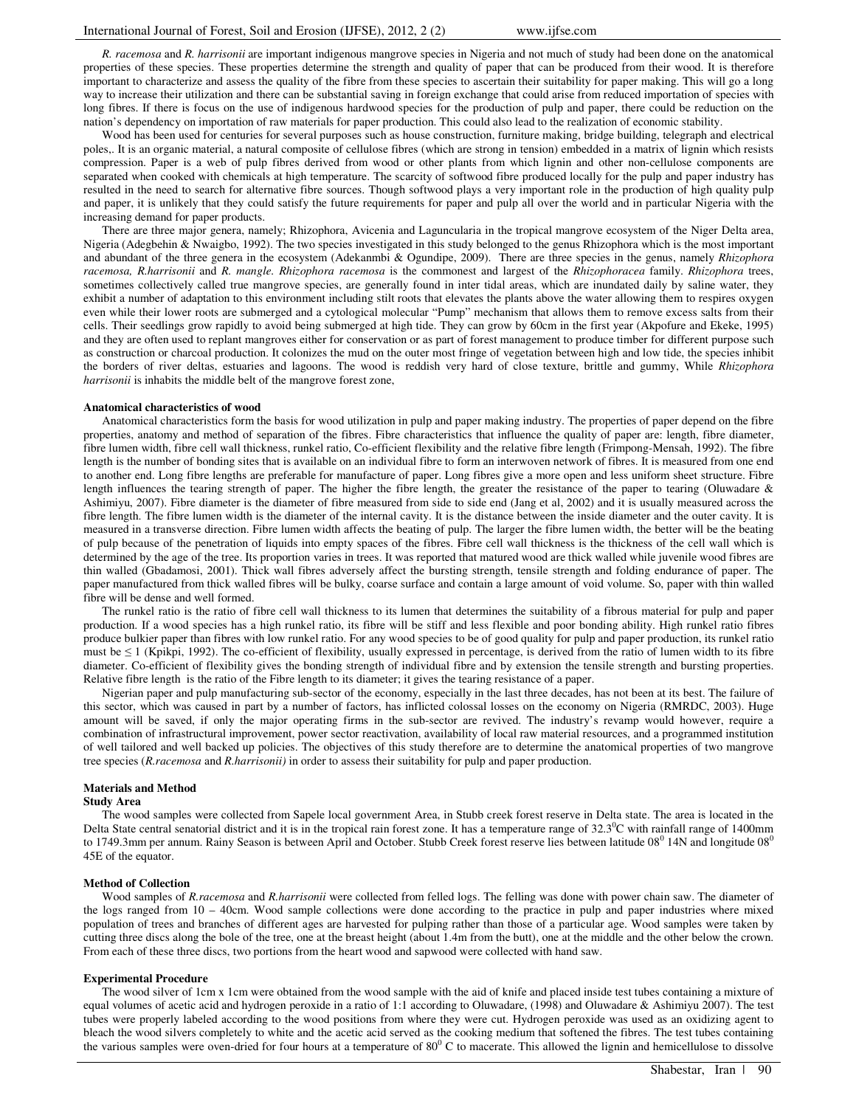*R. racemosa* and *R. harrisonii* are important indigenous mangrove species in Nigeria and not much of study had been done on the anatomical properties of these species. These properties determine the strength and quality of paper that can be produced from their wood. It is therefore important to characterize and assess the quality of the fibre from these species to ascertain their suitability for paper making. This will go a long way to increase their utilization and there can be substantial saving in foreign exchange that could arise from reduced importation of species with long fibres. If there is focus on the use of indigenous hardwood species for the production of pulp and paper, there could be reduction on the nation's dependency on importation of raw materials for paper production. This could also lead to the realization of economic stability.

Wood has been used for centuries for several purposes such as house construction, furniture making, bridge building, telegraph and electrical poles,. It is an organic material, a natural composite of cellulose fibres (which are strong in tension) embedded in a matrix of lignin which resists compression. Paper is a web of pulp fibres derived from wood or other plants from which lignin and other non-cellulose components are separated when cooked with chemicals at high temperature. The scarcity of softwood fibre produced locally for the pulp and paper industry has resulted in the need to search for alternative fibre sources. Though softwood plays a very important role in the production of high quality pulp and paper, it is unlikely that they could satisfy the future requirements for paper and pulp all over the world and in particular Nigeria with the increasing demand for paper products.

There are three major genera, namely; Rhizophora, Avicenia and Laguncularia in the tropical mangrove ecosystem of the Niger Delta area, Nigeria (Adegbehin & Nwaigbo, 1992). The two species investigated in this study belonged to the genus Rhizophora which is the most important and abundant of the three genera in the ecosystem (Adekanmbi & Ogundipe, 2009). There are three species in the genus, namely *Rhizophora racemosa, R.harrisonii* and *R. mangle. Rhizophora racemosa* is the commonest and largest of the *Rhizophoracea* family. *Rhizophora* trees, sometimes collectively called true mangrove species, are generally found in inter tidal areas, which are inundated daily by saline water, they exhibit a number of adaptation to this environment including stilt roots that elevates the plants above the water allowing them to respires oxygen even while their lower roots are submerged and a cytological molecular "Pump" mechanism that allows them to remove excess salts from their cells. Their seedlings grow rapidly to avoid being submerged at high tide. They can grow by 60cm in the first year (Akpofure and Ekeke, 1995) and they are often used to replant mangroves either for conservation or as part of forest management to produce timber for different purpose such as construction or charcoal production. It colonizes the mud on the outer most fringe of vegetation between high and low tide, the species inhibit the borders of river deltas, estuaries and lagoons. The wood is reddish very hard of close texture, brittle and gummy, While *Rhizophora harrisonii* is inhabits the middle belt of the mangrove forest zone,

#### **Anatomical characteristics of wood**

Anatomical characteristics form the basis for wood utilization in pulp and paper making industry. The properties of paper depend on the fibre properties, anatomy and method of separation of the fibres. Fibre characteristics that influence the quality of paper are: length, fibre diameter, fibre lumen width, fibre cell wall thickness, runkel ratio, Co-efficient flexibility and the relative fibre length (Frimpong-Mensah, 1992). The fibre length is the number of bonding sites that is available on an individual fibre to form an interwoven network of fibres. It is measured from one end to another end. Long fibre lengths are preferable for manufacture of paper. Long fibres give a more open and less uniform sheet structure. Fibre length influences the tearing strength of paper. The higher the fibre length, the greater the resistance of the paper to tearing (Oluwadare & Ashimiyu, 2007). Fibre diameter is the diameter of fibre measured from side to side end (Jang et al, 2002) and it is usually measured across the fibre length. The fibre lumen width is the diameter of the internal cavity. It is the distance between the inside diameter and the outer cavity. It is measured in a transverse direction. Fibre lumen width affects the beating of pulp. The larger the fibre lumen width, the better will be the beating of pulp because of the penetration of liquids into empty spaces of the fibres. Fibre cell wall thickness is the thickness of the cell wall which is determined by the age of the tree. Its proportion varies in trees. It was reported that matured wood are thick walled while juvenile wood fibres are thin walled (Gbadamosi, 2001). Thick wall fibres adversely affect the bursting strength, tensile strength and folding endurance of paper. The paper manufactured from thick walled fibres will be bulky, coarse surface and contain a large amount of void volume. So, paper with thin walled fibre will be dense and well formed.

The runkel ratio is the ratio of fibre cell wall thickness to its lumen that determines the suitability of a fibrous material for pulp and paper production. If a wood species has a high runkel ratio, its fibre will be stiff and less flexible and poor bonding ability. High runkel ratio fibres produce bulkier paper than fibres with low runkel ratio. For any wood species to be of good quality for pulp and paper production, its runkel ratio must be  $\leq 1$  (Kpikpi, 1992). The co-efficient of flexibility, usually expressed in percentage, is derived from the ratio of lumen width to its fibre diameter. Co-efficient of flexibility gives the bonding strength of individual fibre and by extension the tensile strength and bursting properties. Relative fibre length is the ratio of the Fibre length to its diameter; it gives the tearing resistance of a paper.

Nigerian paper and pulp manufacturing sub-sector of the economy, especially in the last three decades, has not been at its best. The failure of this sector, which was caused in part by a number of factors, has inflicted colossal losses on the economy on Nigeria (RMRDC, 2003). Huge amount will be saved, if only the major operating firms in the sub-sector are revived. The industry's revamp would however, require a combination of infrastructural improvement, power sector reactivation, availability of local raw material resources, and a programmed institution of well tailored and well backed up policies. The objectives of this study therefore are to determine the anatomical properties of two mangrove tree species (*R.racemosa* and *R.harrisonii)* in order to assess their suitability for pulp and paper production.

#### **Materials and Method**

#### **Study Area**

The wood samples were collected from Sapele local government Area, in Stubb creek forest reserve in Delta state. The area is located in the Delta State central senatorial district and it is in the tropical rain forest zone. It has a temperature range of  $32.3^{\circ}$ C with rainfall range of 1400mm to 1749.3mm per annum. Rainy Season is between April and October. Stubb Creek forest reserve lies between latitude 08<sup>0</sup> 14N and longitude 08<sup>0</sup> 45E of the equator.

#### **Method of Collection**

Wood samples of *R.racemosa* and *R.harrisonii* were collected from felled logs. The felling was done with power chain saw. The diameter of the logs ranged from 10 – 40cm. Wood sample collections were done according to the practice in pulp and paper industries where mixed population of trees and branches of different ages are harvested for pulping rather than those of a particular age. Wood samples were taken by cutting three discs along the bole of the tree, one at the breast height (about 1.4m from the butt), one at the middle and the other below the crown. From each of these three discs, two portions from the heart wood and sapwood were collected with hand saw.

#### **Experimental Procedure**

The wood silver of 1cm x 1cm were obtained from the wood sample with the aid of knife and placed inside test tubes containing a mixture of equal volumes of acetic acid and hydrogen peroxide in a ratio of 1:1 according to Oluwadare, (1998) and Oluwadare & Ashimiyu 2007). The test tubes were properly labeled according to the wood positions from where they were cut. Hydrogen peroxide was used as an oxidizing agent to bleach the wood silvers completely to white and the acetic acid served as the cooking medium that softened the fibres. The test tubes containing the various samples were oven-dried for four hours at a temperature of  $80^{\circ}$  C to macerate. This allowed the lignin and hemicellulose to dissolve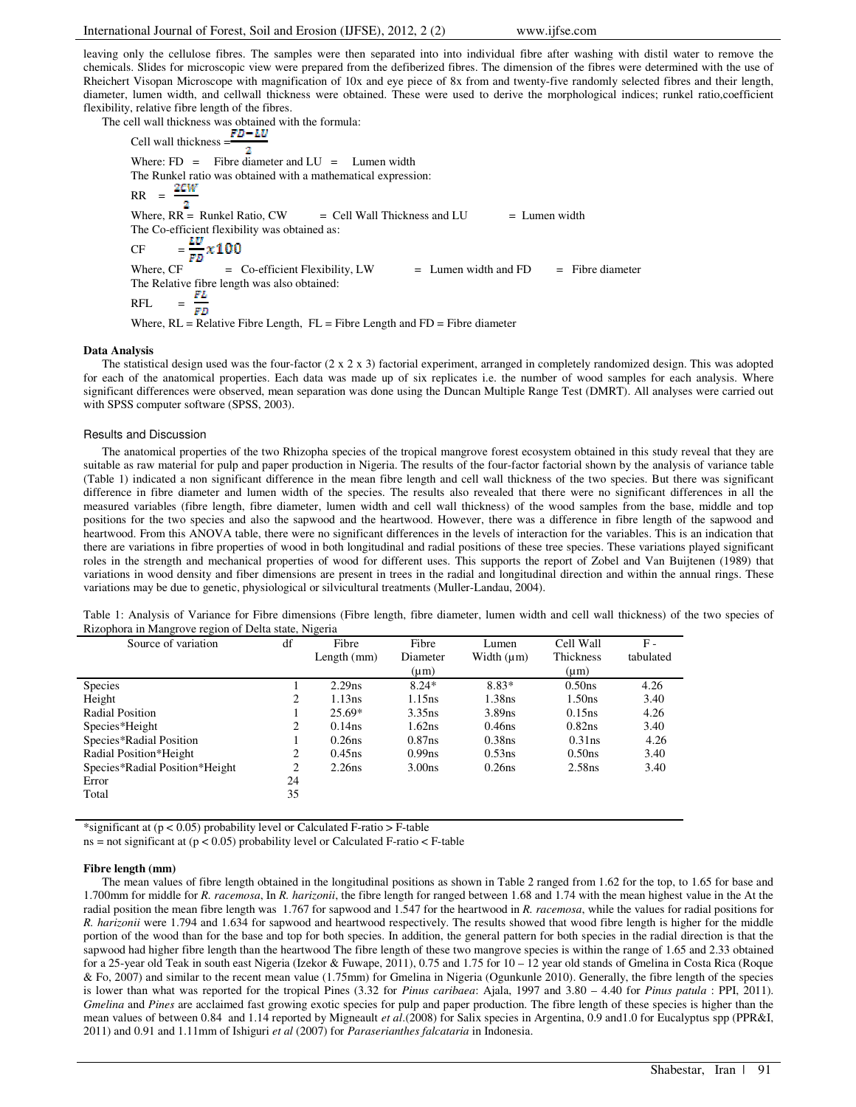leaving only the cellulose fibres. The samples were then separated into into individual fibre after washing with distil water to remove the chemicals. Slides for microscopic view were prepared from the defiberized fibres. The dimension of the fibres were determined with the use of Rheichert Visopan Microscope with magnification of 10x and eye piece of 8x from and twenty-five randomly selected fibres and their length, diameter, lumen width, and cellwall thickness were obtained. These were used to derive the morphological indices; runkel ratio,coefficient flexibility, relative fibre length of the fibres.

The cell wall thickness was obtained with the formula:<br> $FD - LU$ Cell wall thickness  $=\frac{12}{2}$ Where:  $FD =$  Fibre diameter and  $LU =$  Lumen width The Runkel ratio was obtained with a mathematical expression:  $2CW$  $RR =$ 2 Where,  $RR =$  Runkel Ratio,  $CW =$  Cell Wall Thickness and LU  $=$  Lumen width The Co-efficient flexibility was obtained as: CF  $=\frac{LU}{FD}x100$ Where,  $CF = Co\text{-efficient}$  Flexibility,  $LW = Lumen$  width and  $FD = Fibre$  diameter The Relative fibre length was also obtained:<br>RFL  $=$   $\frac{FL}{FD}$ RFL Where,  $RL = Relative$  Fibre Length,  $FL =$  Fibre Length and  $FD =$  Fibre diameter

## **Data Analysis**

The statistical design used was the four-factor  $(2 \times 2 \times 3)$  factorial experiment, arranged in completely randomized design. This was adopted for each of the anatomical properties. Each data was made up of six replicates i.e. the number of wood samples for each analysis. Where significant differences were observed, mean separation was done using the Duncan Multiple Range Test (DMRT). All analyses were carried out with SPSS computer software (SPSS, 2003).

#### Results and Discussion

The anatomical properties of the two Rhizopha species of the tropical mangrove forest ecosystem obtained in this study reveal that they are suitable as raw material for pulp and paper production in Nigeria. The results of the four-factor factorial shown by the analysis of variance table (Table 1) indicated a non significant difference in the mean fibre length and cell wall thickness of the two species. But there was significant difference in fibre diameter and lumen width of the species. The results also revealed that there were no significant differences in all the measured variables (fibre length, fibre diameter, lumen width and cell wall thickness) of the wood samples from the base, middle and top positions for the two species and also the sapwood and the heartwood. However, there was a difference in fibre length of the sapwood and heartwood. From this ANOVA table, there were no significant differences in the levels of interaction for the variables. This is an indication that there are variations in fibre properties of wood in both longitudinal and radial positions of these tree species. These variations played significant roles in the strength and mechanical properties of wood for different uses. This supports the report of Zobel and Van Buijtenen (1989) that variations in wood density and fiber dimensions are present in trees in the radial and longitudinal direction and within the annual rings. These variations may be due to genetic, physiological or silvicultural treatments (Muller-Landau, 2004).

| Table 1: Analysis of Variance for Fibre dimensions (Fibre length, fibre diameter, lumen width and cell wall thickness) of the two species of |  |  |  |  |
|----------------------------------------------------------------------------------------------------------------------------------------------|--|--|--|--|
| Rizophora in Mangrove region of Delta state, Nigeria                                                                                         |  |  |  |  |

| Source of variation            | df | Fibre         | Fibre              | Lumen           | Cell Wall          | $F -$     |
|--------------------------------|----|---------------|--------------------|-----------------|--------------------|-----------|
|                                |    | Length $(mm)$ | Diameter           | Width $(\mu m)$ | Thickness          | tabulated |
|                                |    |               | $(\mu m)$          |                 | $(\mu m)$          |           |
| <b>Species</b>                 |    | 2.29ns        | $8.24*$            | 8.83*           | 0.50ns             | 4.26      |
| Height                         | 2  | 1.13ns        | 1.15ns             | 1.38ns          | 1.50 <sub>ns</sub> | 3.40      |
| Radial Position                |    | $25.69*$      | $3.35$ ns          | $3.89$ ns       | 0.15ns             | 4.26      |
| Species*Height                 | 2  | $0.14$ ns     | 1.62ns             | $0.46$ ns       | 0.82ns             | 3.40      |
| Species*Radial Position        |    | $0.26$ ns     | $0.87$ ns          | $0.38$ ns       | $0.31$ ns          | 4.26      |
| Radial Position*Height         | 2  | $0.45$ ns     | $0.99$ ns          | 0.53ns          | $0.50$ ns          | 3.40      |
| Species*Radial Position*Height | 2  | 2.26ns        | 3.00 <sub>ns</sub> | $0.26$ ns       | 2.58 <sub>ns</sub> | 3.40      |
| Error                          | 24 |               |                    |                 |                    |           |
| Total                          | 35 |               |                    |                 |                    |           |

\*significant at  $(p < 0.05)$  probability level or Calculated F-ratio  $>$  F-table

ns = not significant at  $(p < 0.05)$  probability level or Calculated F-ratio  $\lt$  F-table

#### **Fibre length (mm)**

The mean values of fibre length obtained in the longitudinal positions as shown in Table 2 ranged from 1.62 for the top, to 1.65 for base and 1.700mm for middle for *R. racemosa*, In *R. harizonii*, the fibre length for ranged between 1.68 and 1.74 with the mean highest value in the At the radial position the mean fibre length was 1.767 for sapwood and 1.547 for the heartwood in *R. racemosa*, while the values for radial positions for *R. harizonii* were 1.794 and 1.634 for sapwood and heartwood respectively. The results showed that wood fibre length is higher for the middle portion of the wood than for the base and top for both species. In addition, the general pattern for both species in the radial direction is that the sapwood had higher fibre length than the heartwood The fibre length of these two mangrove species is within the range of 1.65 and 2.33 obtained for a 25-year old Teak in south east Nigeria (Izekor & Fuwape, 2011), 0.75 and 1.75 for 10 – 12 year old stands of Gmelina in Costa Rica (Roque & Fo, 2007) and similar to the recent mean value (1.75mm) for Gmelina in Nigeria (Ogunkunle 2010). Generally, the fibre length of the species is lower than what was reported for the tropical Pines (3.32 for *Pinus caribaea*: Ajala, 1997 and 3.80 – 4.40 for *Pinus patula* : PPI, 2011). *Gmelina* and *Pines* are acclaimed fast growing exotic species for pulp and paper production. The fibre length of these species is higher than the mean values of between 0.84 and 1.14 reported by Migneault *et al*.(2008) for Salix species in Argentina, 0.9 and1.0 for Eucalyptus spp (PPR&I, 2011) and 0.91 and 1.11mm of Ishiguri *et al* (2007) for *Paraserianthes falcataria* in Indonesia.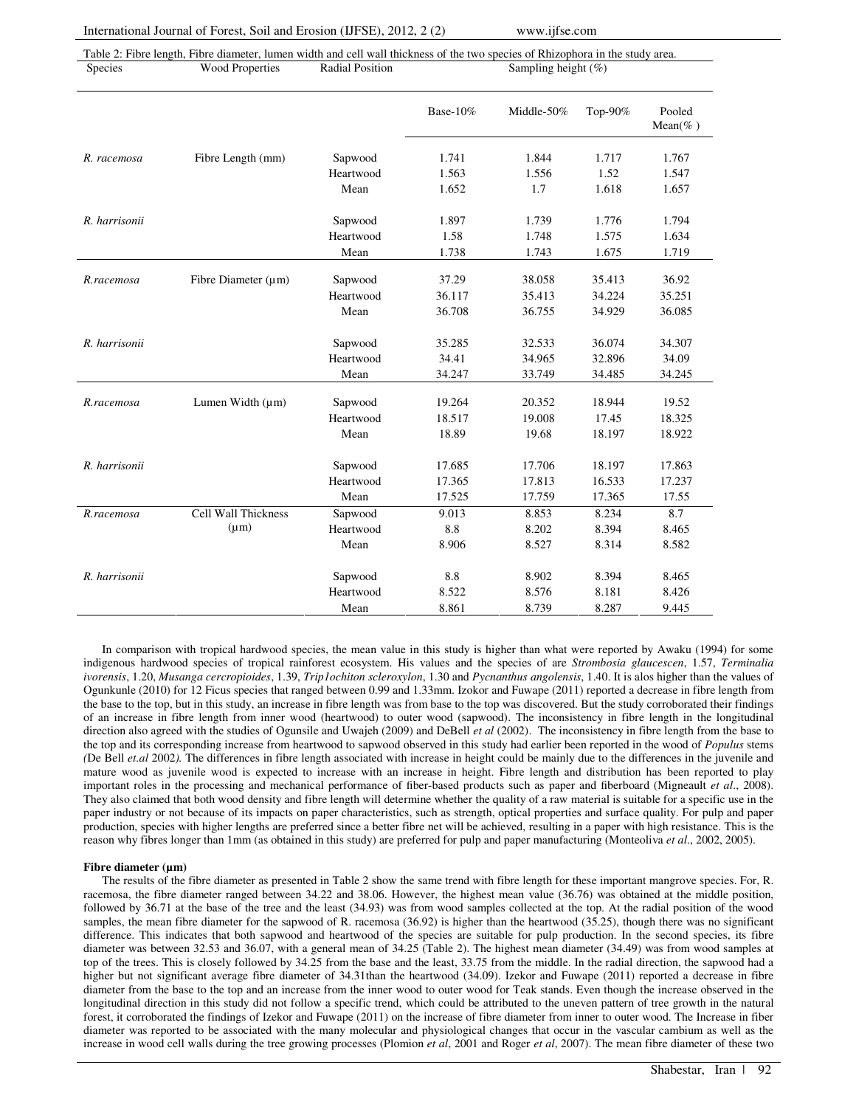Fibre Diameter (µm)

Lumen Width  $(\mu m)$ 

 $(\mu m)$ 

*R.racemosa* Cell Wall Thickness

Heartwood 1.58 1.748 1.575 1.634

Mean 1.738 1.743 1.675 1.719 Sapwood 37.29 38.058 35.413 36.92 Heartwood 36.117 35.413 34.224 35.251

Mean 36.708 36.755 34.929 36.085

Mean 34.247 33.749 34.485 34.245

Mean 18.89 19.68 18.197 18.922

Sapwood 17.685 17.706 18.197 17.863 Heartwood 17.365 17.813 16.533 17.237

Mean 17.525 17.759 17.365 17.55 Sapwood 9.013 8.853 8.234 8.7 Heartwood 8.8 8.202 8.394 8.465

Mean 8.906 8.527 8.314 8.582

Mean 8.861 8.739 8.287 9.445

Sapwood 8.8 8.902 8.394 8.465 Heartwood 8.522 8.576 8.181 8.426

Sapwood 19.264 20.352 18.944 19.52 Heartwood 18.517 19.008 17.45 18.325

Sapwood 35.285 32.533 36.074 34.307 Heartwood 34.41 34.965 32.896 34.09

|                | Table 2: Fibre length, Fibre diameter, lumen width and cell wall thickness of the two species of Rhizophora in the study area. |                        |              |                |         |                   |  |  |  |
|----------------|--------------------------------------------------------------------------------------------------------------------------------|------------------------|--------------|----------------|---------|-------------------|--|--|--|
| <b>Species</b> | <b>Wood Properties</b>                                                                                                         | <b>Radial Position</b> |              |                |         |                   |  |  |  |
|                |                                                                                                                                |                        |              |                |         |                   |  |  |  |
|                |                                                                                                                                |                        | Base- $10\%$ | Middle- $50\%$ | Top-90% | Pooled<br>Mean(%) |  |  |  |
| R. racemosa    | Fibre Length (mm)                                                                                                              | Sapwood                | 1.741        | 1.844          | 1.717   | 1.767             |  |  |  |
|                |                                                                                                                                | Heartwood              | 1.563        | 1.556          | 1.52    | 1.547             |  |  |  |
|                |                                                                                                                                | Mean                   | 1.652        | 1.7            | 1.618   | 1.657             |  |  |  |
| R. harrisonii  |                                                                                                                                | Sapwood                | 1.897        | 1.739          | 1.776   | 1.794             |  |  |  |

In comparison with tropical hardwood species, the mean value in this study is higher than what were reported by Awaku (1994) for some indigenous hardwood species of tropical rainforest ecosystem. His values and the species of are *Strombosia glaucescen*, 1.57, *Terminalia ivorensis*, 1.20, *Musanga cercropioides*, 1.39, *Trip1ochiton scleroxylon*, 1.30 and *Pycnanthus angolensis*, 1.40. It is alos higher than the values of Ogunkunle (2010) for 12 Ficus species that ranged between 0.99 and 1.33mm. Izokor and Fuwape (2011) reported a decrease in fibre length from the base to the top, but in this study, an increase in fibre length was from base to the top was discovered. But the study corroborated their findings of an increase in fibre length from inner wood (heartwood) to outer wood (sapwood). The inconsistency in fibre length in the longitudinal direction also agreed with the studies of Ogunsile and Uwajeh (2009) and DeBell *et al* (2002). The inconsistency in fibre length from the base to the top and its corresponding increase from heartwood to sapwood observed in this study had earlier been reported in the wood of *Populus* stems *(*De Bell *et.al* 2002*).* The differences in fibre length associated with increase in height could be mainly due to the differences in the juvenile and mature wood as juvenile wood is expected to increase with an increase in height. Fibre length and distribution has been reported to play important roles in the processing and mechanical performance of fiber-based products such as paper and fiberboard (Migneault *et al*., 2008). They also claimed that both wood density and fibre length will determine whether the quality of a raw material is suitable for a specific use in the paper industry or not because of its impacts on paper characteristics, such as strength, optical properties and surface quality. For pulp and paper production, species with higher lengths are preferred since a better fibre net will be achieved, resulting in a paper with high resistance. This is the reason why fibres longer than 1mm (as obtained in this study) are preferred for pulp and paper manufacturing (Monteoliva *et al*., 2002, 2005).

## **Fibre diameter (µm)**

*R.racemosa* 

*R. harrisonii* 

*R.racemosa* 

*R. harrisonii* 

*R. harrisonii* 

The results of the fibre diameter as presented in Table 2 show the same trend with fibre length for these important mangrove species. For, R. racemosa, the fibre diameter ranged between 34.22 and 38.06. However, the highest mean value (36.76) was obtained at the middle position, followed by 36.71 at the base of the tree and the least (34.93) was from wood samples collected at the top. At the radial position of the wood samples, the mean fibre diameter for the sapwood of R. racemosa (36.92) is higher than the heartwood (35.25), though there was no significant difference. This indicates that both sapwood and heartwood of the species are suitable for pulp production. In the second species, its fibre diameter was between 32.53 and 36.07, with a general mean of 34.25 (Table 2). The highest mean diameter (34.49) was from wood samples at top of the trees. This is closely followed by 34.25 from the base and the least, 33.75 from the middle. In the radial direction, the sapwood had a higher but not significant average fibre diameter of 34.31than the heartwood (34.09). Izekor and Fuwape (2011) reported a decrease in fibre diameter from the base to the top and an increase from the inner wood to outer wood for Teak stands. Even though the increase observed in the longitudinal direction in this study did not follow a specific trend, which could be attributed to the uneven pattern of tree growth in the natural forest, it corroborated the findings of Izekor and Fuwape (2011) on the increase of fibre diameter from inner to outer wood. The Increase in fiber diameter was reported to be associated with the many molecular and physiological changes that occur in the vascular cambium as well as the increase in wood cell walls during the tree growing processes (Plomion *et al*, 2001 and Roger *et al*, 2007). The mean fibre diameter of these two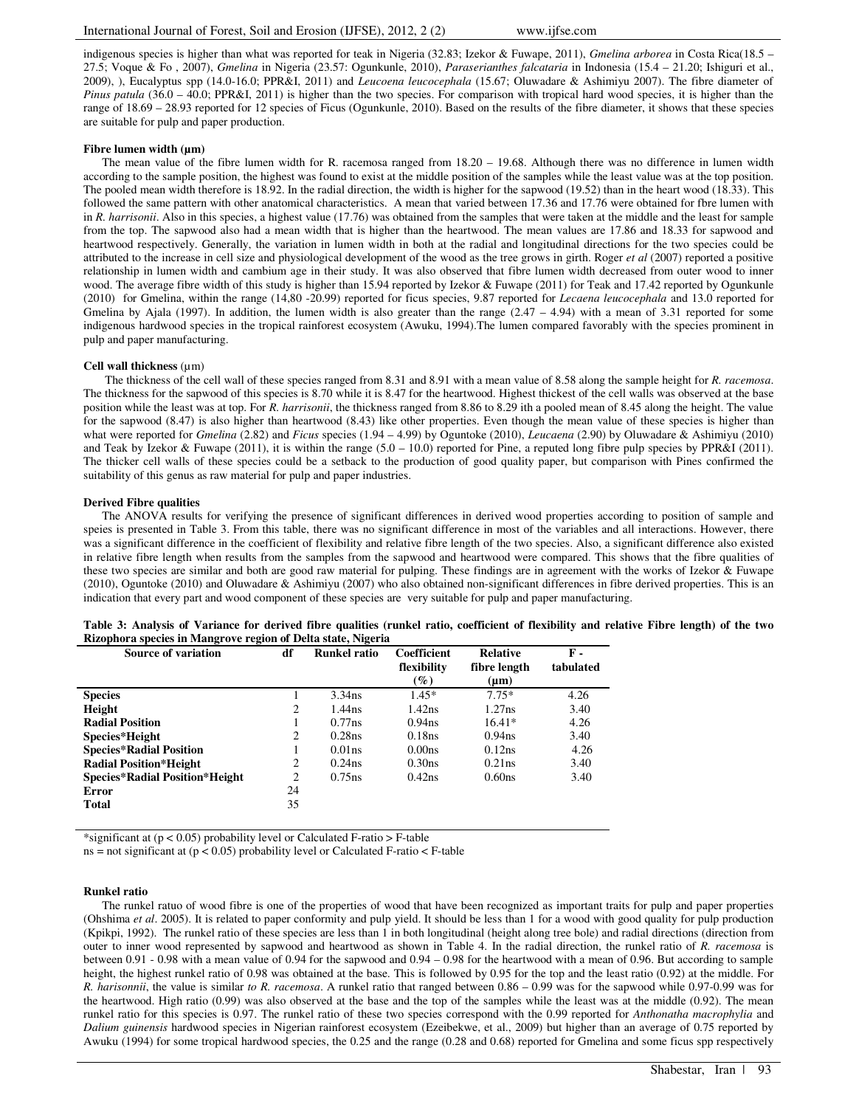indigenous species is higher than what was reported for teak in Nigeria (32.83; Izekor & Fuwape, 2011), *Gmelina arborea* in Costa Rica(18.5 – 27.5; Voque & Fo , 2007), *Gmelina* in Nigeria (23.57: Ogunkunle, 2010), *Paraserianthes falcataria* in Indonesia (15.4 – 21.20; Ishiguri et al., 2009), ), Eucalyptus spp (14.0-16.0; PPR&I, 2011) and *Leucoena leucocephala* (15.67; Oluwadare & Ashimiyu 2007). The fibre diameter of *Pinus patula* (36.0 – 40.0; PPR&I, 2011) is higher than the two species. For comparison with tropical hard wood species, it is higher than the range of 18.69 – 28.93 reported for 12 species of Ficus (Ogunkunle, 2010). Based on the results of the fibre diameter, it shows that these species are suitable for pulp and paper production.

## **Fibre lumen width (µm)**

The mean value of the fibre lumen width for R. racemosa ranged from 18.20 – 19.68. Although there was no difference in lumen width according to the sample position, the highest was found to exist at the middle position of the samples while the least value was at the top position. The pooled mean width therefore is 18.92. In the radial direction, the width is higher for the sapwood (19.52) than in the heart wood (18.33). This followed the same pattern with other anatomical characteristics. A mean that varied between 17.36 and 17.76 were obtained for fbre lumen with in *R. harrisonii*. Also in this species, a highest value (17.76) was obtained from the samples that were taken at the middle and the least for sample from the top. The sapwood also had a mean width that is higher than the heartwood. The mean values are 17.86 and 18.33 for sapwood and heartwood respectively. Generally, the variation in lumen width in both at the radial and longitudinal directions for the two species could be attributed to the increase in cell size and physiological development of the wood as the tree grows in girth. Roger *et al* (2007) reported a positive relationship in lumen width and cambium age in their study. It was also observed that fibre lumen width decreased from outer wood to inner wood. The average fibre width of this study is higher than 15.94 reported by Izekor & Fuwape (2011) for Teak and 17.42 reported by Ogunkunle (2010) for Gmelina, within the range (14,80 -20.99) reported for ficus species, 9.87 reported for *Lecaena leucocephala* and 13.0 reported for Gmelina by Ajala (1997). In addition, the lumen width is also greater than the range  $(2.47 - 4.94)$  with a mean of 3.31 reported for some indigenous hardwood species in the tropical rainforest ecosystem (Awuku, 1994).The lumen compared favorably with the species prominent in pulp and paper manufacturing.

## **Cell wall thickness** (µm)

 The thickness of the cell wall of these species ranged from 8.31 and 8.91 with a mean value of 8.58 along the sample height for *R. racemosa*. The thickness for the sapwood of this species is 8.70 while it is 8.47 for the heartwood. Highest thickest of the cell walls was observed at the base position while the least was at top. For *R. harrisonii*, the thickness ranged from 8.86 to 8.29 ith a pooled mean of 8.45 along the height. The value for the sapwood (8.47) is also higher than heartwood (8.43) like other properties. Even though the mean value of these species is higher than what were reported for *Gmelina* (2.82) and *Ficus* species (1.94 – 4.99) by Oguntoke (2010), *Leucaena* (2.90) by Oluwadare & Ashimiyu (2010) and Teak by Izekor & Fuwape (2011), it is within the range (5.0 – 10.0) reported for Pine, a reputed long fibre pulp species by PPR&I (2011). The thicker cell walls of these species could be a setback to the production of good quality paper, but comparison with Pines confirmed the suitability of this genus as raw material for pulp and paper industries.

#### **Derived Fibre qualities**

The ANOVA results for verifying the presence of significant differences in derived wood properties according to position of sample and speies is presented in Table 3. From this table, there was no significant difference in most of the variables and all interactions. However, there was a significant difference in the coefficient of flexibility and relative fibre length of the two species. Also, a significant difference also existed in relative fibre length when results from the samples from the sapwood and heartwood were compared. This shows that the fibre qualities of these two species are similar and both are good raw material for pulping. These findings are in agreement with the works of Izekor & Fuwape (2010), Oguntoke (2010) and Oluwadare & Ashimiyu (2007) who also obtained non-significant differences in fibre derived properties. This is an indication that every part and wood component of these species are very suitable for pulp and paper manufacturing.

|  |                                                              |  |  | Table 3: Analysis of Variance for derived fibre qualities (runkel ratio, coefficient of flexibility and relative Fibre length) of the two |  |
|--|--------------------------------------------------------------|--|--|-------------------------------------------------------------------------------------------------------------------------------------------|--|
|  | Rizophora species in Mangrove region of Delta state, Nigeria |  |  |                                                                                                                                           |  |
|  |                                                              |  |  |                                                                                                                                           |  |

| <b>Source of variation</b>            | df | <b>Runkel ratio</b> | Coefficient        | <b>Relative</b>    | <b>F</b> - |
|---------------------------------------|----|---------------------|--------------------|--------------------|------------|
|                                       |    |                     | flexibility        | fibre length       | tabulated  |
|                                       |    |                     | $(\%)$             | $(\mu m)$          |            |
| <b>Species</b>                        |    | $3.34$ ns           | $1.45*$            | $7.75*$            | 4.26       |
| Height                                | 2  | $1.44$ ns           | 1.42ns             | 1.27ns             | 3.40       |
| <b>Radial Position</b>                |    | 0.77ns              | 0.94 <sub>ns</sub> | $16.41*$           | 4.26       |
| Species*Height                        | 2  | 0.28ns              | 0.18ns             | 0.94 <sub>ns</sub> | 3.40       |
| <b>Species*Radial Position</b>        |    | $0.01$ ns.          | 0.00 <sub>ns</sub> | 0.12ns             | 4.26       |
| <b>Radial Position*Height</b>         | 2  | $0.24$ ns           | 0.30 <sub>ns</sub> | 0.21ns             | 3.40       |
| <b>Species*Radial Position*Height</b> | 2  | $0.75$ ns           | $0.42$ ns          | 0.60 <sub>ns</sub> | 3.40       |
| Error                                 | 24 |                     |                    |                    |            |
| Total                                 | 35 |                     |                    |                    |            |

\*significant at  $(p < 0.05)$  probability level or Calculated F-ratio  $>$  F-table

ns = not significant at  $(p < 0.05)$  probability level or Calculated F-ratio  $\lt$  F-table

#### **Runkel ratio**

The runkel ratuo of wood fibre is one of the properties of wood that have been recognized as important traits for pulp and paper properties (Ohshima *et al*. 2005). It is related to paper conformity and pulp yield. It should be less than 1 for a wood with good quality for pulp production (Kpikpi, 1992). The runkel ratio of these species are less than 1 in both longitudinal (height along tree bole) and radial directions (direction from outer to inner wood represented by sapwood and heartwood as shown in Table 4. In the radial direction, the runkel ratio of *R. racemosa* is between 0.91 - 0.98 with a mean value of 0.94 for the sapwood and 0.94 – 0.98 for the heartwood with a mean of 0.96. But according to sample height, the highest runkel ratio of 0.98 was obtained at the base. This is followed by 0.95 for the top and the least ratio (0.92) at the middle. For *R. harisonnii*, the value is similar *to R. racemosa*. A runkel ratio that ranged between 0.86 – 0.99 was for the sapwood while 0.97-0.99 was for the heartwood. High ratio (0.99) was also observed at the base and the top of the samples while the least was at the middle (0.92). The mean runkel ratio for this species is 0.97. The runkel ratio of these two species correspond with the 0.99 reported for *Anthonatha macrophylia* and *Dalium guinensis* hardwood species in Nigerian rainforest ecosystem (Ezeibekwe, et al., 2009) but higher than an average of 0.75 reported by Awuku (1994) for some tropical hardwood species, the 0.25 and the range (0.28 and 0.68) reported for Gmelina and some ficus spp respectively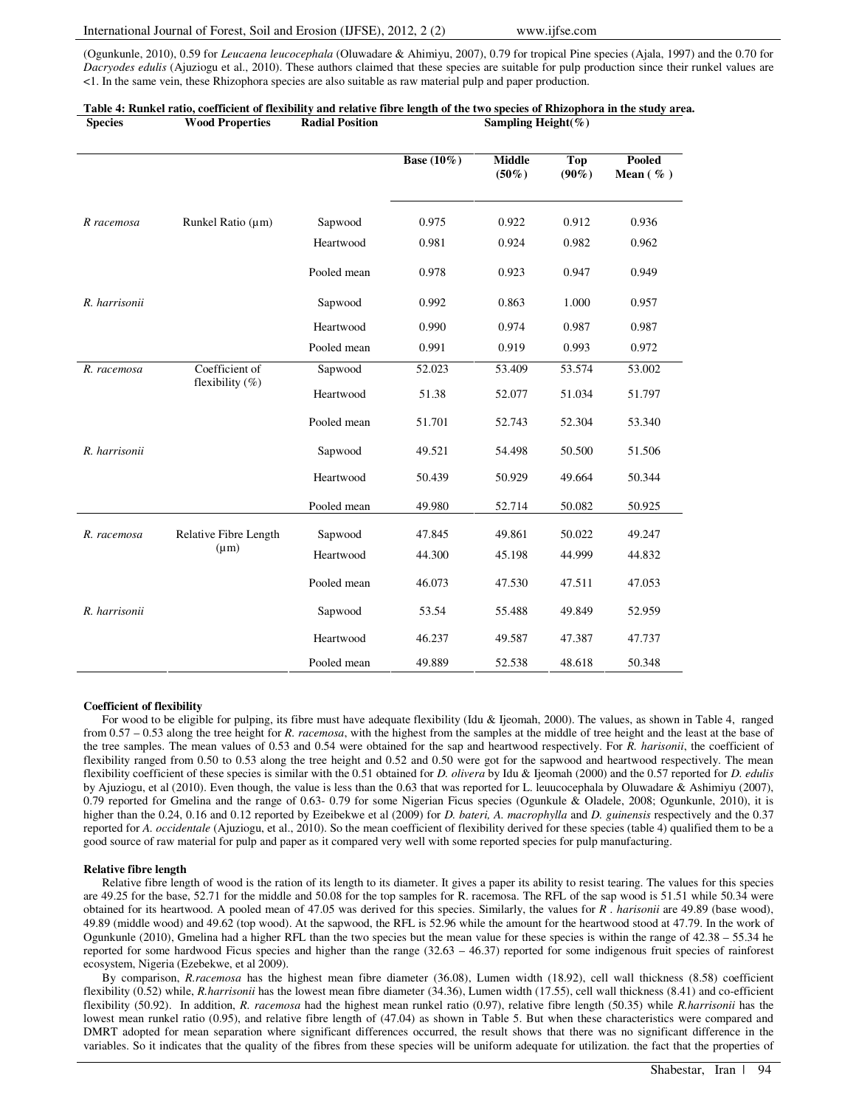## International Journal of Forest, Soil and Erosion (IJFSE), 2012, 2 (2) www.ijfse.com

(Ogunkunle, 2010), 0.59 for *Leucaena leucocephala* (Oluwadare & Ahimiyu, 2007), 0.79 for tropical Pine species (Ajala, 1997) and the 0.70 for *Dacryodes edulis* (Ajuziogu et al., 2010). These authors claimed that these species are suitable for pulp production since their runkel values are <1. In the same vein, these Rhizophora species are also suitable as raw material pulp and paper production.

| <b>Species</b>                                      | <b>Wood Properties</b> | <b>Radial Position</b> |               | Sampling Height(%)        |                        |                        |
|-----------------------------------------------------|------------------------|------------------------|---------------|---------------------------|------------------------|------------------------|
|                                                     |                        |                        | Base $(10\%)$ | <b>Middle</b><br>$(50\%)$ | <b>Top</b><br>$(90\%)$ | Pooled<br>Mean $(\% )$ |
| R racemosa                                          | Runkel Ratio (µm)      | Sapwood                | 0.975         | 0.922                     | 0.912                  | 0.936                  |
|                                                     |                        | Heartwood              | 0.981         | 0.924                     | 0.982                  | 0.962                  |
|                                                     |                        | Pooled mean            | 0.978         | 0.923                     | 0.947                  | 0.949                  |
| R. harrisonii                                       |                        | Sapwood                | 0.992         | 0.863                     | 1.000                  | 0.957                  |
|                                                     |                        | Heartwood              | 0.990         | 0.974                     | 0.987                  | 0.987                  |
|                                                     |                        | Pooled mean            | 0.991         | 0.919                     | 0.993                  | 0.972                  |
| Coefficient of<br>R. racemosa<br>flexibility $(\%)$ | Sapwood                | 52.023                 | 53.409        | 53.574                    | 53.002                 |                        |
|                                                     |                        | Heartwood              | 51.38         | 52.077                    | 51.034                 | 51.797                 |
|                                                     |                        | Pooled mean            | 51.701        | 52.743                    | 52.304                 | 53.340                 |
| R. harrisonii                                       |                        | Sapwood                | 49.521        | 54.498                    | 50.500                 | 51.506                 |
|                                                     |                        | Heartwood              | 50.439        | 50.929                    | 49.664                 | 50.344                 |
|                                                     |                        | Pooled mean            | 49.980        | 52.714                    | 50.082                 | 50.925                 |
| R. racemosa                                         | Relative Fibre Length  | Sapwood                | 47.845        | 49.861                    | 50.022                 | 49.247                 |
|                                                     | $(\mu m)$              | Heartwood              | 44.300        | 45.198                    | 44.999                 | 44.832                 |
|                                                     |                        | Pooled mean            | 46.073        | 47.530                    | 47.511                 | 47.053                 |
| R. harrisonii                                       |                        | Sapwood                | 53.54         | 55.488                    | 49.849                 | 52.959                 |
|                                                     |                        | Heartwood              | 46.237        | 49.587                    | 47.387                 | 47.737                 |
|                                                     |                        | Pooled mean            | 49.889        | 52.538                    | 48.618                 | 50.348                 |

# **Table 4: Runkel ratio, coefficient of flexibility and relative fibre length of the two species of Rhizophora in the study area.**

## **Coefficient of flexibility**

For wood to be eligible for pulping, its fibre must have adequate flexibility (Idu & Ijeomah, 2000). The values, as shown in Table 4, ranged from 0.57 – 0.53 along the tree height for *R. racemosa*, with the highest from the samples at the middle of tree height and the least at the base of the tree samples. The mean values of 0.53 and 0.54 were obtained for the sap and heartwood respectively. For *R. harisonii*, the coefficient of flexibility ranged from 0.50 to 0.53 along the tree height and 0.52 and 0.50 were got for the sapwood and heartwood respectively. The mean flexibility coefficient of these species is similar with the 0.51 obtained for *D. olivera* by Idu & Ijeomah (2000) and the 0.57 reported for *D. edulis* by Ajuziogu, et al (2010). Even though, the value is less than the 0.63 that was reported for L. leuucocephala by Oluwadare & Ashimiyu (2007), 0.79 reported for Gmelina and the range of 0.63- 0.79 for some Nigerian Ficus species (Ogunkule & Oladele, 2008; Ogunkunle, 2010), it is higher than the 0.24, 0.16 and 0.12 reported by Ezeibekwe et al (2009) for *D. bateri, A. macrophylla* and *D. guinensis* respectively and the 0.37 reported for *A. occidentale* (Ajuziogu, et al., 2010). So the mean coefficient of flexibility derived for these species (table 4) qualified them to be a good source of raw material for pulp and paper as it compared very well with some reported species for pulp manufacturing.

## **Relative fibre length**

Relative fibre length of wood is the ration of its length to its diameter. It gives a paper its ability to resist tearing. The values for this species are 49.25 for the base, 52.71 for the middle and 50.08 for the top samples for R. racemosa. The RFL of the sap wood is 51.51 while 50.34 were obtained for its heartwood. A pooled mean of 47.05 was derived for this species. Similarly, the values for *R . harisonii* are 49.89 (base wood), 49.89 (middle wood) and 49.62 (top wood). At the sapwood, the RFL is 52.96 while the amount for the heartwood stood at 47.79. In the work of Ogunkunle (2010), Gmelina had a higher RFL than the two species but the mean value for these species is within the range of 42.38 – 55.34 he reported for some hardwood Ficus species and higher than the range (32.63 – 46.37) reported for some indigenous fruit species of rainforest ecosystem, Nigeria (Ezebekwe, et al 2009).

By comparison, *R.racemosa* has the highest mean fibre diameter (36.08), Lumen width (18.92), cell wall thickness (8.58) coefficient flexibility (0.52) while, *R.harrisonii* has the lowest mean fibre diameter (34.36), Lumen width (17.55), cell wall thickness (8.41) and co-efficient flexibility (50.92). In addition, *R. racemosa* had the highest mean runkel ratio (0.97), relative fibre length (50.35) while *R.harrisonii* has the lowest mean runkel ratio (0.95), and relative fibre length of (47.04) as shown in Table 5. But when these characteristics were compared and DMRT adopted for mean separation where significant differences occurred, the result shows that there was no significant difference in the variables. So it indicates that the quality of the fibres from these species will be uniform adequate for utilization. the fact that the properties of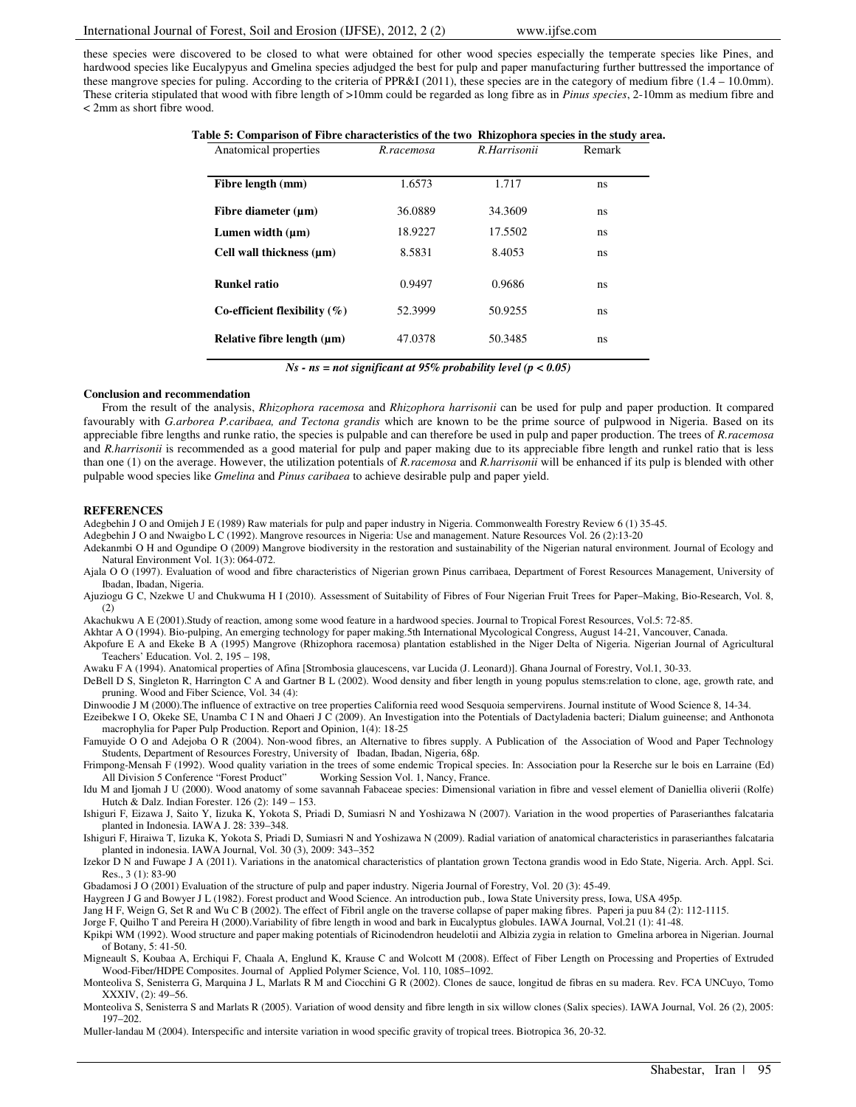these species were discovered to be closed to what were obtained for other wood species especially the temperate species like Pines, and hardwood species like Eucalypyus and Gmelina species adjudged the best for pulp and paper manufacturing further buttressed the importance of these mangrove species for puling. According to the criteria of PPR&I (2011), these species are in the category of medium fibre (1.4 – 10.0mm). These criteria stipulated that wood with fibre length of >10mm could be regarded as long fibre as in *Pinus species*, 2-10mm as medium fibre and < 2mm as short fibre wood.

| Table 5: Comparison of Fibre characteristics of the two Rhizophora species in the study area. |  |  |
|-----------------------------------------------------------------------------------------------|--|--|
|                                                                                               |  |  |

| Anatomical properties           | R.racemosa | R.Harrisonii | Remark |
|---------------------------------|------------|--------------|--------|
| Fibre length (mm)               | 1.6573     | 1.717        | ns     |
| Fibre diameter $(\mu m)$        | 36.0889    | 34.3609      | ns     |
| Lumen width $(\mu m)$           | 18.9227    | 17.5502      | ns     |
| Cell wall thickness $(\mu m)$   | 8.5831     | 8.4053       | ns     |
| <b>Runkel ratio</b>             | 0.9497     | 0.9686       | ns     |
| Co-efficient flexibility $(\%)$ | 52.3999    | 50.9255      | ns     |
| Relative fibre length (µm)      | 47.0378    | 50.3485      | ns     |

*Ns - ns = not significant at 95% probability level (p < 0.05)* 

#### **Conclusion and recommendation**

From the result of the analysis, *Rhizophora racemosa* and *Rhizophora harrisonii* can be used for pulp and paper production. It compared favourably with *G.arborea P.caribaea, and Tectona grandis* which are known to be the prime source of pulpwood in Nigeria. Based on its appreciable fibre lengths and runke ratio, the species is pulpable and can therefore be used in pulp and paper production. The trees of *R.racemosa* and *R.harrisonii* is recommended as a good material for pulp and paper making due to its appreciable fibre length and runkel ratio that is less than one (1) on the average. However, the utilization potentials of *R.racemosa* and *R.harrisonii* will be enhanced if its pulp is blended with other pulpable wood species like *Gmelina* and *Pinus caribaea* to achieve desirable pulp and paper yield.

#### **REFERENCES**

Adegbehin J O and Omijeh J E (1989) Raw materials for pulp and paper industry in Nigeria. Commonwealth Forestry Review 6 (1) 35-45.

Adegbehin J O and Nwaigbo L C (1992). Mangrove resources in Nigeria: Use and management. Nature Resources Vol. 26 (2):13-20

Adekanmbi O H and Ogundipe O (2009) Mangrove biodiversity in the restoration and sustainability of the Nigerian natural environment. Journal of Ecology and Natural Environment Vol. 1(3): 064-072.

Ajala O O (1997). Evaluation of wood and fibre characteristics of Nigerian grown Pinus carribaea, Department of Forest Resources Management, University of Ibadan, Ibadan, Nigeria.

Ajuziogu G C, Nzekwe U and Chukwuma H I (2010). Assessment of Suitability of Fibres of Four Nigerian Fruit Trees for Paper–Making, Bio-Research, Vol. 8, (2)

Akachukwu A E (2001).Study of reaction, among some wood feature in a hardwood species. Journal to Tropical Forest Resources, Vol.5: 72-85.

Akhtar A O (1994). Bio-pulping, An emerging technology for paper making.5th International Mycological Congress, August 14-21, Vancouver, Canada.

Akpofure E A and Ekeke B A (1995) Mangrove (Rhizophora racemosa) plantation established in the Niger Delta of Nigeria. Nigerian Journal of Agricultural Teachers' Education. Vol. 2, 195 – 198,

Awaku F A (1994). Anatomical properties of Afina [Strombosia glaucescens, var Lucida (J. Leonard)]. Ghana Journal of Forestry, Vol.1, 30-33.

DeBell D S, Singleton R, Harrington C A and Gartner B L (2002). Wood density and fiber length in young populus stems:relation to clone, age, growth rate, and pruning. Wood and Fiber Science, Vol. 34 (4):

Dinwoodie J M (2000).The influence of extractive on tree properties California reed wood Sesquoia sempervirens. Journal institute of Wood Science 8, 14-34.

Ezeibekwe I O, Okeke SE, Unamba C I N and Ohaeri J C (2009). An Investigation into the Potentials of Dactyladenia bacteri; Dialum guineense; and Anthonota macrophylia for Paper Pulp Production. Report and Opinion, 1(4): 18-25

Famuyide O O and Adejoba O R (2004). Non-wood fibres, an Alternative to fibres supply. A Publication of the Association of Wood and Paper Technology Students, Department of Resources Forestry, University of Ibadan, Ibadan, Nigeria, 68p.

Frimpong-Mensah F (1992). Wood quality variation in the trees of some endemic Tropical species. In: Association pour la Reserche sur le bois en Larraine (Ed) All Division 5 Conference "Forest Product" Working Session Vol. 1, Nancy, France.

Idu M and Ijomah J U (2000). Wood anatomy of some savannah Fabaceae species: Dimensional variation in fibre and vessel element of Daniellia oliverii (Rolfe) Hutch & Dalz. Indian Forester. 126 (2): 149 – 153.

Ishiguri F, Eizawa J, Saito Y, Iizuka K, Yokota S, Priadi D, Sumiasri N and Yoshizawa N (2007). Variation in the wood properties of Paraserianthes falcataria planted in Indonesia. IAWA J. 28: 339–348.

Ishiguri F, Hiraiwa T, Iizuka K, Yokota S, Priadi D, Sumiasri N and Yoshizawa N (2009). Radial variation of anatomical characteristics in paraserianthes falcataria planted in indonesia. IAWA Journal, Vol. 30 (3), 2009: 343–352

Izekor D N and Fuwape J A (2011). Variations in the anatomical characteristics of plantation grown Tectona grandis wood in Edo State, Nigeria. Arch. Appl. Sci. Res., 3 (1): 83-90

Gbadamosi J O (2001) Evaluation of the structure of pulp and paper industry. Nigeria Journal of Forestry, Vol. 20 (3): 45-49.

Haygreen J G and Bowyer J L (1982). Forest product and Wood Science. An introduction pub., Iowa State University press, Iowa, USA 495p.

Jang H F, Weign G, Set R and Wu C B (2002). The effect of Fibril angle on the traverse collapse of paper making fibres. Paperi ja puu 84 (2): 112-1115.

Jorge F, Quilho T and Pereira H (2000).Variability of fibre length in wood and bark in Eucalyptus globules. IAWA Journal, Vol.21 (1): 41-48.

Kpikpi WM (1992). Wood structure and paper making potentials of Ricinodendron heudelotii and Albizia zygia in relation to Gmelina arborea in Nigerian. Journal of Botany, 5: 41-50.

Migneault S, Koubaa A, Erchiqui F, Chaala A, Englund K, Krause C and Wolcott M (2008). Effect of Fiber Length on Processing and Properties of Extruded Wood-Fiber/HDPE Composites. Journal of Applied Polymer Science, Vol. 110, 1085–1092.

Monteoliva S, Senisterra G, Marquina J L, Marlats R M and Ciocchini G R (2002). Clones de sauce, longitud de fibras en su madera. Rev. FCA UNCuyo, Tomo XXXIV, (2): 49–56.

Monteoliva S, Senisterra S and Marlats R (2005). Variation of wood density and fibre length in six willow clones (Salix species). IAWA Journal, Vol. 26 (2), 2005: 197–202.

Muller-landau M (2004). Interspecific and intersite variation in wood specific gravity of tropical trees. Biotropica 36, 20-32.